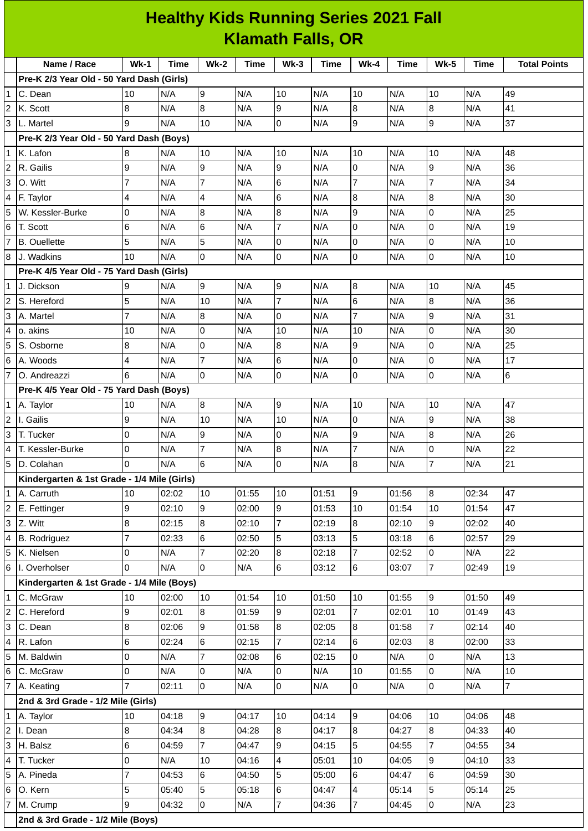|                | <b>Healthy Kids Running Series 2021 Fall</b><br><b>Klamath Falls, OR</b> |                |             |                 |       |                |             |                  |       |                  |             |                     |
|----------------|--------------------------------------------------------------------------|----------------|-------------|-----------------|-------|----------------|-------------|------------------|-------|------------------|-------------|---------------------|
|                |                                                                          |                |             |                 |       |                |             |                  |       |                  |             |                     |
|                | Name / Race                                                              | $Wk-1$         | <b>Time</b> | <b>Wk-2</b>     | Time  | $Wk-3$         | <b>Time</b> | $Wk-4$           | Time  | <b>Wk-5</b>      | <b>Time</b> | <b>Total Points</b> |
|                | Pre-K 2/3 Year Old - 50 Yard Dash (Girls)                                |                |             |                 |       |                |             |                  |       |                  |             |                     |
|                | C. Dean                                                                  | 10             | N/A         | 9               | N/A   | 10             | N/A         | 10               | N/A   | 10               | N/A         | 49                  |
| 2              | K. Scott                                                                 | 8              | N/A         | 8               | N/A   | 9              | N/A         | 8                | N/A   | 8                | N/A         | 41                  |
| 3              | L. Martel                                                                | 9              | N/A         | 10              | N/A   | $\mathbf 0$    | N/A         | $\overline{9}$   | N/A   | $\overline{9}$   | N/A         | 37                  |
|                | Pre-K 2/3 Year Old - 50 Yard Dash (Boys)                                 |                |             |                 |       |                |             |                  |       |                  |             |                     |
| 1              | K. Lafon                                                                 | 8              | N/A         | 10              | N/A   | 10             | N/A         | 10               | N/A   | 10               | N/A         | 48                  |
| 2              | R. Gailis                                                                | 9              | N/A         | 9               | N/A   | 9              | N/A         | $\overline{0}$   | N/A   | 9                | N/A         | 36                  |
| 3              | O. Witt                                                                  | $\overline{7}$ | N/A         | $\overline{7}$  | N/A   | 6              | N/A         | $\overline{7}$   | N/A   | $\overline{7}$   | N/A         | 34                  |
| 4              | F. Taylor                                                                | 4              | N/A         | 4               | N/A   | 6              | N/A         | 8                | N/A   | 8                | N/A         | 30                  |
| 5              | W. Kessler-Burke                                                         | 0              | N/A         | $\bf{8}$        | N/A   | 8              | N/A         | 9                | N/A   | $\overline{0}$   | N/A         | 25                  |
| 6              | T. Scott                                                                 | 6              | N/A         | $6\phantom{.}6$ | N/A   | $\overline{7}$ | N/A         | $\overline{0}$   | N/A   | $\overline{0}$   | N/A         | 19                  |
|                | <b>B.</b> Ouellette                                                      | 5              | N/A         | 5               | N/A   | 0              | N/A         | $\overline{0}$   | N/A   | $\overline{0}$   | N/A         | 10                  |
| 8              | J. Wadkins                                                               | 10             | N/A         | $\overline{0}$  | N/A   | $\overline{0}$ | N/A         | $\overline{0}$   | N/A   | $\overline{0}$   | N/A         | 10                  |
|                | Pre-K 4/5 Year Old - 75 Yard Dash (Girls)                                |                |             |                 |       |                |             |                  |       |                  |             |                     |
| 1              | J. Dickson                                                               | 9              | N/A         | 9               | N/A   | 9              | N/A         | 8                | N/A   | 10               | N/A         | 45                  |
|                | S. Hereford                                                              | 5              | N/A         | 10              | N/A   | $\overline{7}$ | N/A         | 6                | N/A   | $\bf{8}$         | N/A         | 36                  |
| 3              | A. Martel                                                                | $\overline{7}$ | N/A         | 8               | N/A   | $\Omega$       | N/A         | $\overline{7}$   | N/A   | 9                | N/A         | 31                  |
| 4              | lo. akins                                                                | 10             | N/A         | $\overline{0}$  | N/A   | 10             | N/A         | 10               | N/A   | $\overline{0}$   | N/A         | 30                  |
| 5              | S. Osborne                                                               | 8              | N/A         | $\overline{0}$  | N/A   | 8              | N/A         | 9                | N/A   | 0                | N/A         | 25                  |
| 6              | A. Woods                                                                 | 4              | N/A         | $\overline{7}$  | N/A   | 6              | N/A         | $\mathbf 0$      | N/A   | $\mathbf 0$      | N/A         | 17                  |
|                | O. Andreazzi                                                             | 6              | N/A         | $\overline{0}$  | N/A   | $\Omega$       | N/A         | <sup>o</sup>     | N/A   | $\overline{0}$   | N/A         | $6\phantom{.}6$     |
|                | Pre-K 4/5 Year Old - 75 Yard Dash (Boys)                                 |                |             |                 |       |                |             |                  |       |                  |             |                     |
|                | 1 A. Taylor                                                              | 10             | N/A         | 8               | N/A   | 9              | N/A         | 10               | N/A   | 10               | N/A         | 47                  |
| 2              | I. Gailis                                                                | 9              | N/A         | 10              | N/A   | 10             | N/A         | $\overline{0}$   | N/A   | 9                | N/A         | 38                  |
| 3              | T. Tucker                                                                | 0              | N/A         | 9               | N/A   | 0              | N/A         | 9                | N/A   | 8                | N/A         | 26                  |
| 4              | T. Kessler-Burke                                                         | O              | N/A         | 7               | N/A   | 8              | N/A         | 17               | N/A   | O                | N/A         | 22                  |
| 5              | D. Colahan                                                               | $\Omega$       | N/A         | $6\overline{6}$ | N/A   | $\overline{0}$ | N/A         | $\overline{8}$   | N/A   | $\overline{7}$   | N/A         | 21                  |
|                | Kindergarten & 1st Grade - 1/4 Mile (Girls)                              |                |             |                 |       |                |             |                  |       |                  |             |                     |
| 1              | A. Carruth                                                               | 10             | 02:02       | 10              | 01:55 | $10\,$         | 01:51       | 9                | 01:56 | $\overline{8}$   | 02:34       | 47                  |
| 2              | E. Fettinger                                                             | 9              | 02:10       | 9               | 02:00 | 9              | 01:53       | 10               | 01:54 | 10               | 01:54       | 47                  |
| 3              | Z. Witt                                                                  | 8              | 02:15       | 8               | 02:10 | $\overline{7}$ | 02:19       | $\bf{8}$         | 02:10 | 9                | 02:02       | 40                  |
| 4              | <b>B.</b> Rodriguez                                                      | $\overline{7}$ | 02:33       | 6               | 02:50 | 5              | 03:13       | 5                | 03:18 | 6                | 02:57       | 29                  |
| 5              | K. Nielsen                                                               | 0              | N/A         | $\overline{7}$  | 02:20 | 8              | 02:18       | $\overline{7}$   | 02:52 | $\mathsf 0$      | N/A         | 22                  |
| 6              | I. Overholser                                                            | 0              | N/A         | 0               | N/A   | 6              | 03:12       | 6                | 03:07 | $\overline{7}$   | 02:49       | 19                  |
|                | Kindergarten & 1st Grade - 1/4 Mile (Boys)                               |                |             |                 |       |                |             |                  |       |                  |             |                     |
| 1              | C. McGraw                                                                | $10\,$         | 02:00       | 10              | 01:54 | $10\,$         | 01:50       | 10               | 01:55 | $\overline{9}$   | 01:50       | 49                  |
| 2              | C. Hereford                                                              | 9              | 02:01       | $\overline{8}$  | 01:59 | 9              | 02:01       | $\overline{7}$   | 02:01 | 10               | 01:49       | 43                  |
| 3              | C. Dean                                                                  | 8              | 02:06       | 9               | 01:58 | 8              | 02:05       | 8                | 01:58 | 7                | 02:14       | 40                  |
| 4              | R. Lafon                                                                 | 6              | 02:24       | $6\phantom{a}$  | 02:15 | $\overline{7}$ | 02:14       | $\,6$            | 02:03 | $\bf{8}$         | 02:00       | 33                  |
| 5              | M. Baldwin                                                               | 0              | N/A         | 7               | 02:08 | 6              | 02:15       | 0                | N/A   | 0                | N/A         | 13                  |
| 6              | C. McGraw                                                                | 0              | N/A         | $\mathsf 0$     | N/A   | 0              | N/A         | $10\,$           | 01:55 | $\mathsf 0$      | N/A         | 10                  |
|                | A. Keating                                                               | $\overline{7}$ | 02:11       | $\pmb{0}$       | N/A   | 0              | N/A         | $\overline{0}$   | N/A   | 0                | N/A         | $\overline{7}$      |
|                | 2nd & 3rd Grade - 1/2 Mile (Girls)                                       |                |             |                 |       |                |             |                  |       |                  |             |                     |
|                | A. Taylor                                                                | $10\,$         | 04:18       | 9               | 04:17 | 10             | 04:14       | $\boldsymbol{9}$ | 04:06 | 10               | 04:06       | 48                  |
| $\overline{c}$ | I. Dean                                                                  | 8              | 04:34       | 8               | 04:28 | 8              | 04:17       | $\bf{8}$         | 04:27 | $\overline{8}$   | 04:33       | 40                  |
| 3              | H. Balsz                                                                 | 6              | 04:59       | 7               | 04:47 | 9              | 04:15       | 5                | 04:55 | 7                | 04:55       | 34                  |
| 4              | T. Tucker                                                                | 0              | N/A         | 10              | 04:16 | 4              | 05:01       | 10               | 04:05 | $\boldsymbol{9}$ | 04:10       | 33                  |
|                | A. Pineda                                                                | $\overline{7}$ | 04:53       | 6               | 04:50 | 5              | 05:00       | 6                | 04:47 | 6                | 04:59       | 30                  |
| 6              | O. Kern                                                                  | 5              | 05:40       | 5               | 05:18 | 6              | 04:47       | $\overline{4}$   | 05:14 | 5                | 05:14       | 25                  |
|                | M. Crump                                                                 | 9              | 04:32       | $\overline{0}$  | N/A   | $\overline{7}$ | 04:36       | $\overline{7}$   | 04:45 | $\overline{0}$   | N/A         | 23                  |

i

**2nd & 3rd Grade - 1/2 Mile (Boys)**